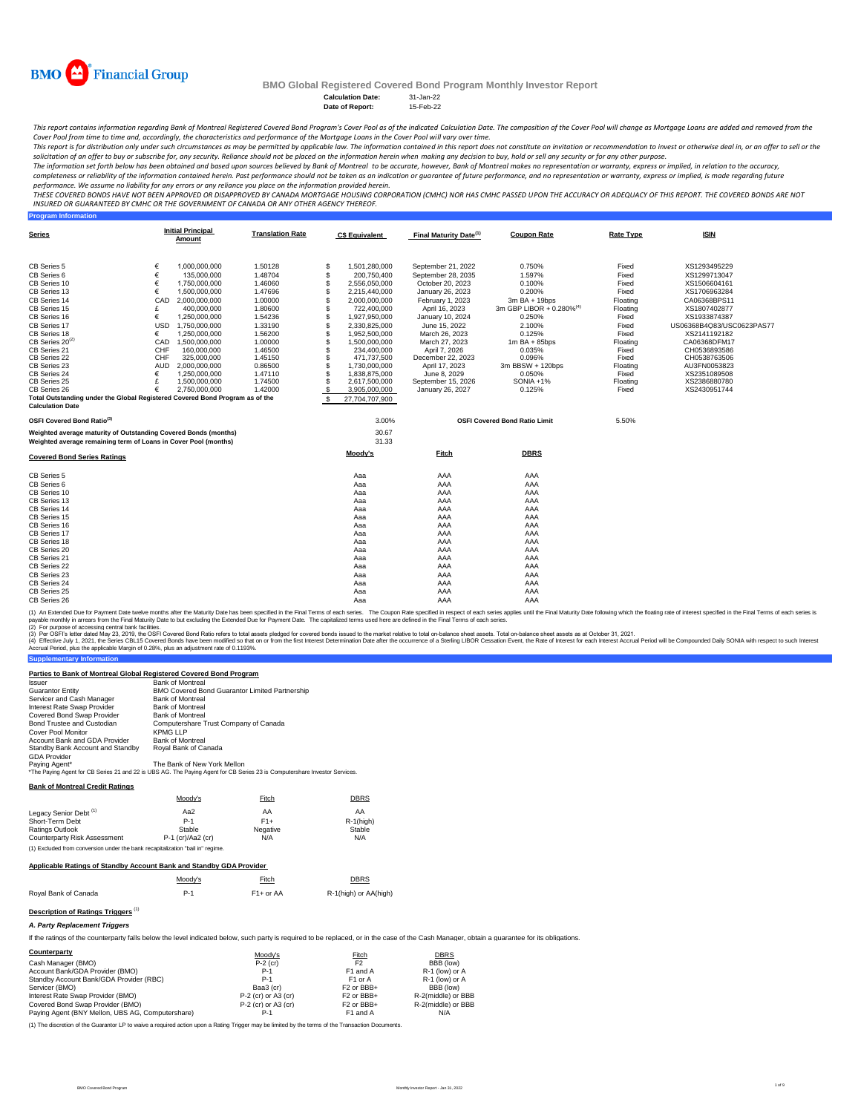

**Program Information**

# **BMO Global Registered Covered Bond Program Monthly Investor Report**

**Calculation Date:** 31-Jan-22 **Date of Report:** 

This report contains information regarding Bank of Montreal Registered Covered Bond Program's Cover Pool as of the indicated Calculation Date. The composition of the Cover Pool will change as Mortgage Loans are added and r *Cover Pool from time to time and, accordingly, the characteristics and performance of the Mortgage Loans in the Cover Pool will vary over time.*

This report is for distribution only under such circumstances as may be permitted by applicable law. The information contained in this report does not constitute an invitation or recommendation to invest or otherwise deal

The information set forth below has been obtained and based upon sources believed by Bank of Montreal , bowever, Bank of Montreal makes no representation or warranty, express or implied, in relation to the accuracy,<br>comple

performance. We assume no liability for any errors or any reliance you place on the information provided herein.<br>THESE COVERED BONDS HAVE NOT BEEN APPROVED BY DANDEN ON DE TO KNAND MORTGGE HOUSING CORPORATION (CMHC) NOR HA *INSURED OR GUARANTEED BY CMHC OR THE GOVERNMENT OF CANADA OR ANY OTHER AGENCY THEREOF.*

| <b>Series</b>                                                                |            | <b>Initial Principal</b><br>Amount | <b>Translation Rate</b> |              | <b>C\$ Equivalent</b> | Final Maturity Date <sup>(1)</sup> | <b>Coupon Rate</b>                   | <b>Rate Type</b> | <b>ISIN</b>               |
|------------------------------------------------------------------------------|------------|------------------------------------|-------------------------|--------------|-----------------------|------------------------------------|--------------------------------------|------------------|---------------------------|
| CB Series 5                                                                  | €          | 1.000.000.000                      | 1.50128                 | \$           | 1,501,280,000         | September 21, 2022                 | 0.750%                               | Fixed            | XS1293495229              |
| CB Series 6                                                                  | €          | 135,000,000                        | 1.48704                 | $\mathbf{s}$ | 200.750.400           | September 28, 2035                 | 1.597%                               | Fixed            | XS1299713047              |
| CB Series 10                                                                 | €          | 1,750,000,000                      | 1.46060                 | S.           | 2,556,050,000         | October 20, 2023                   | 0.100%                               | Fixed            | XS1506604161              |
| CB Series 13                                                                 | €          | 1,500,000,000                      | 1.47696                 |              | 2,215,440,000         | January 26, 2023                   | 0.200%                               | Fixed            | XS1706963284              |
| CB Series 14                                                                 | CAD        | 2,000,000,000                      | 1.00000                 |              | 2,000,000,000         | February 1, 2023                   | $3m$ BA + 19bps                      | Floating         | CA06368BPS11              |
| CB Series 15                                                                 | £          | 400,000,000                        | 1.80600                 |              | 722,400,000           | April 16, 2023                     | 3m GBP LIBOR + 0.280% <sup>(4)</sup> | Floating         | XS1807402877              |
| CB Series 16                                                                 | €          | 1.250.000.000                      | 1.54236                 |              | 1,927,950,000         | January 10, 2024                   | 0.250%                               | Fixed            | XS1933874387              |
| CB Series 17                                                                 | <b>USD</b> | 1,750,000,000                      | 1.33190                 |              | 2,330,825,000         | June 15, 2022                      | 2.100%                               | Fixed            | US06368B4Q83/USC0623PAS77 |
| CB Series 18                                                                 | €          | 1.250.000.000                      | 1.56200                 |              | 1,952,500,000         | March 26, 2023                     | 0.125%                               | Fixed            | XS2141192182              |
| CB Series 20 <sup>(2)</sup>                                                  | CAD        | 1.500.000.000                      | 1.00000                 |              | 1.500.000.000         | March 27, 2023                     | $1m$ BA + 85bps                      | Floating         | CA06368DFM17              |
| CB Series 21                                                                 | CHF        | 160,000,000                        | 1.46500                 |              | 234,400,000           | April 7, 2026                      | 0.035%                               | Fixed            | CH0536893586              |
| CB Series 22                                                                 | CHF        | 325,000,000                        | 1.45150                 |              | 471,737,500           | December 22, 2023                  | 0.096%                               | Fixed            | CH0538763506              |
| CB Series 23                                                                 | <b>AUD</b> | 2,000,000,000                      | 0.86500                 |              | 1,730,000,000         | April 17, 2023                     | 3m BBSW + 120bps                     | Floating         | AU3FN0053823              |
| CB Series 24                                                                 | €          | 1,250,000,000                      | 1.47110                 |              | 1,838,875,000         | June 8, 2029                       | 0.050%                               | Fixed            | XS2351089508              |
| CB Series 25                                                                 | £          | 1,500,000,000                      | 1.74500                 |              | 2,617,500,000         | September 15, 2026                 | SONIA +1%                            | Floating         | XS2386880780              |
| CB Series 26                                                                 | €          | 2.750.000.000                      | 1.42000                 |              | 3,905,000,000         | January 26, 2027                   | 0.125%                               | Fixed            | XS2430951744              |
| Total Outstanding under the Global Registered Covered Bond Program as of the |            |                                    |                         | £.           | 27.704.707.900        |                                    |                                      |                  |                           |
| <b>Calculation Date</b>                                                      |            |                                    |                         |              |                       |                                    |                                      |                  |                           |
| OSFI Covered Bond Ratio <sup>(3)</sup>                                       |            |                                    |                         |              | 3.00%                 |                                    | <b>OSFI Covered Bond Ratio Limit</b> | 5.50%            |                           |
| Weighted average maturity of Outstanding Covered Bonds (months)              |            |                                    |                         |              | 30.67                 |                                    |                                      |                  |                           |
| Weighted average remaining term of Loans in Cover Pool (months)              |            |                                    |                         |              | 31.33                 |                                    |                                      |                  |                           |
| <b>Covered Bond Series Ratings</b>                                           |            |                                    |                         |              | Moody's               | Fitch                              | <b>DBRS</b>                          |                  |                           |
| CB Series 5                                                                  |            |                                    |                         |              | Aaa                   | AAA                                | AAA                                  |                  |                           |
| CB Series 6                                                                  |            |                                    |                         |              | Aaa                   | AAA                                | AAA                                  |                  |                           |
| CB Series 10                                                                 |            |                                    |                         |              | Aaa                   | AAA                                | AAA                                  |                  |                           |
| CB Series 13                                                                 |            |                                    |                         |              | Aaa                   | AAA                                | AAA                                  |                  |                           |
| CB Series 14                                                                 |            |                                    |                         |              | Aaa                   | AAA                                | AAA                                  |                  |                           |
| CB Series 15                                                                 |            |                                    |                         |              | Aaa                   | AAA                                | AAA                                  |                  |                           |
| CB Series 16                                                                 |            |                                    |                         |              | Aaa                   | AAA                                | AAA                                  |                  |                           |
| CB Series 17                                                                 |            |                                    |                         |              | Aaa                   | AAA                                | AAA                                  |                  |                           |
| CB Series 18                                                                 |            |                                    |                         |              | Aaa                   | AAA                                | AAA                                  |                  |                           |
| CB Series 20                                                                 |            |                                    |                         |              | Aaa                   | AAA                                | AAA                                  |                  |                           |
| CB Series 21                                                                 |            |                                    |                         |              | Aaa                   | AAA                                | AAA                                  |                  |                           |
| CB Series 22                                                                 |            |                                    |                         |              | Aaa                   | AAA                                | AAA                                  |                  |                           |
| CB Series 23                                                                 |            |                                    |                         |              | Aaa                   | AAA                                | AAA                                  |                  |                           |
| CB Series 24                                                                 |            |                                    |                         |              | Aaa                   | AAA                                | AAA                                  |                  |                           |
| CB Series 25                                                                 |            |                                    |                         |              | Aaa                   | AAA                                | AAA                                  |                  |                           |
| CB Series 26                                                                 |            |                                    |                         |              | Aaa                   | AAA                                | AAA                                  |                  |                           |

(1) An Extended Due for Payment Date twelve months after the Maturity Date has been specified in the Final of each series. The Coupon Rate specified in the Final Tems of each series is<br>payable monthy in arrears from the Fi

(2) For purpose of accessing central bank facilities.

(3) Per OSFI's letter dated May 23, 2019, the OSFI Covered Bond Ratio refers to total assets pledged for covered bonds issued to the market relative to total on-balance sheet assets. Total on-balance sheet assets as at Oct

#### **Parties to Bank of Montreal Global Registered Covered Bond Program**

| <b>Issuer</b>                    | <b>Bank of Montreal</b>                                                                                                    |
|----------------------------------|----------------------------------------------------------------------------------------------------------------------------|
| <b>Guarantor Entity</b>          | <b>BMO Covered Bond Guarantor Limited Partnership</b>                                                                      |
| Servicer and Cash Manager        | <b>Bank of Montreal</b>                                                                                                    |
| Interest Rate Swap Provider      | <b>Bank of Montreal</b>                                                                                                    |
| Covered Bond Swap Provider       | <b>Bank of Montreal</b>                                                                                                    |
| Bond Trustee and Custodian       | Computershare Trust Company of Canada                                                                                      |
| Cover Pool Monitor               | <b>KPMG LLP</b>                                                                                                            |
| Account Bank and GDA Provider    | <b>Bank of Montreal</b>                                                                                                    |
| Standby Bank Account and Standby | Roval Bank of Canada                                                                                                       |
| <b>GDA Provider</b>              |                                                                                                                            |
| Paying Agent*                    | The Bank of New York Mellon                                                                                                |
|                                  | *The Paying Agent for CB Series 21 and 22 is UBS AG. The Paying Agent for CB Series 23 is Computershare Investor Services. |

**Bank of Montreal Credit Ratings**

**Supplementary Information**

|                                                                                | Moody's             | Fitch    | <b>DBRS</b>  |  |  |  |
|--------------------------------------------------------------------------------|---------------------|----------|--------------|--|--|--|
| Legacy Senior Debt <sup>(1)</sup>                                              | Aa <sub>2</sub>     | AA       | AA           |  |  |  |
| Short-Term Debt                                                                | $P-1$               | $F1+$    | $R-1$ (high) |  |  |  |
| Ratings Outlook                                                                | Stable              | Negative | Stable       |  |  |  |
| Counterparty Risk Assessment                                                   | $P-1$ (cr)/Aa2 (cr) | N/A      | N/A          |  |  |  |
| (1) Excluded from conversion under the bank recapitalization "bail in" regime. |                     |          |              |  |  |  |

#### **Applicable Ratings of Standby Account Bank and Standby GDA Provider**

|                      | Moodv's | Fitch       | <b>DBRS</b>           |
|----------------------|---------|-------------|-----------------------|
| Roval Bank of Canada | $P-1$   | $F1+$ or AA | R-1(high) or AA(high) |

# **Description of Ratings Triggers**<sup>(1)</sup>

# *A. Party Replacement Triggers*

If the ratings of the counterparty falls below the level indicated below, such party is required to be replaced, or in the case of the Cash Manager, obtain a guarantee for its obligations.

| Counterparty                                     | Moody's               | Fitch                             | <b>DBRS</b>        |
|--------------------------------------------------|-----------------------|-----------------------------------|--------------------|
| Cash Manager (BMO)                               | $P-2$ (cr)            | F <sub>2</sub>                    | BBB (low)          |
| Account Bank/GDA Provider (BMO)                  | $P-1$                 | F1 and A                          | R-1 (low) or A     |
| Standby Account Bank/GDA Provider (RBC)          | $P-1$                 | F <sub>1</sub> or A               | R-1 (low) or A     |
| Servicer (BMO)                                   | Baa3 (cr)             | F <sub>2</sub> or BBB+            | BBB (low)          |
| Interest Rate Swap Provider (BMO)                | $P-2$ (cr) or A3 (cr) | F <sub>2</sub> or BB <sub>+</sub> | R-2(middle) or BBB |
| Covered Bond Swap Provider (BMO)                 | $P-2$ (cr) or A3 (cr) | F <sub>2</sub> or BBB+            | R-2(middle) or BBB |
| Paying Agent (BNY Mellon, UBS AG, Computershare) | P-1                   | F1 and A                          | N/A                |

(1) The discretion of the Guarantor LP to waive a required action upon a Rating Trigger may be limited by the terms of the Transaction Documents.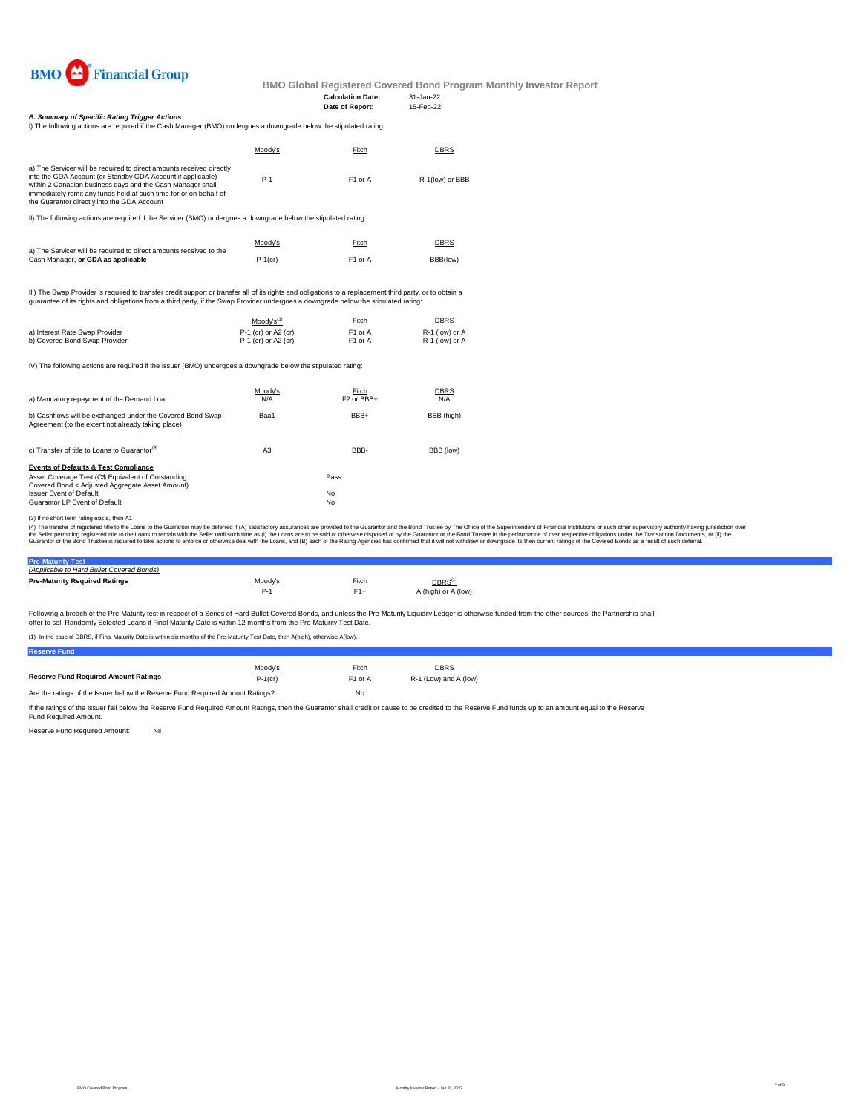

#### **Calculation Date:** 31-Jan-22 **Date of Report:**

*B. Summary of Specific Rating Trigger Actions*

| I) The following actions are required if the Cash Manager (BMO) undergoes a downgrade below the stipulated rating:                                                                                                                                                                                                    |         |                     |                 |
|-----------------------------------------------------------------------------------------------------------------------------------------------------------------------------------------------------------------------------------------------------------------------------------------------------------------------|---------|---------------------|-----------------|
|                                                                                                                                                                                                                                                                                                                       | Moodv's | Fitch               | <b>DBRS</b>     |
| a) The Servicer will be required to direct amounts received directly<br>into the GDA Account (or Standby GDA Account if applicable)<br>within 2 Canadian business days and the Cash Manager shall<br>immediately remit any funds held at such time for or on behalf of<br>the Guarantor directly into the GDA Account | $P-1$   | F <sub>1</sub> or A | R-1(low) or BBB |

II) The following actions are required if the Servicer (BMO) undergoes a downgrade below the stipulated rating:

|                                                                                                          | Moody's    | Fitch               | <b>DBRS</b> |
|----------------------------------------------------------------------------------------------------------|------------|---------------------|-------------|
| a) The Servicer will be required to direct amounts received to the<br>Cash Manager, or GDA as applicable | $P-1$ (cr) | F <sub>1</sub> or A | BBB(low)    |

III) The Swap Provider is required to transfer credit support or transfer all of its rights and obligations to a replacement third party, or to obtain a<br>guarantee of its rights and obligations from a third party, if the Sw

|                                | $Mody's^{(3)}$        | Fitch               | <b>DBRS</b>    |
|--------------------------------|-----------------------|---------------------|----------------|
| a) Interest Rate Swap Provider | $P-1$ (cr) or A2 (cr) | F <sub>1</sub> or A | R-1 (low) or A |
| b) Covered Bond Swap Provider  | $P-1$ (cr) or A2 (cr) | F1 or A             | R-1 (low) or A |

IV) The following actions are required if the Issuer (BMO) undergoes a downgrade below the stipulated rating:

| a) Mandatory repayment of the Demand Loan                                                                        | Moodv's<br>N/A | Fitch<br>F <sub>2</sub> or BB <sub>+</sub> | <b>DBRS</b><br>N/A |
|------------------------------------------------------------------------------------------------------------------|----------------|--------------------------------------------|--------------------|
| b) Cashflows will be exchanged under the Covered Bond Swap<br>Agreement (to the extent not already taking place) | Baa1           | BBB+                                       | BBB (high)         |
| c) Transfer of title to Loans to Guarantor <sup>(4)</sup>                                                        | A3             | BBB-                                       | BBB (low)          |
| <b>Events of Defaults &amp; Test Compliance</b>                                                                  |                |                                            |                    |
| Asset Coverage Test (C\$ Equivalent of Outstanding                                                               |                | Pass                                       |                    |
| Covered Bond < Adiusted Aggregate Asset Amount)<br><b>Issuer Event of Default</b>                                |                | No                                         |                    |
| Guarantor LP Event of Default                                                                                    |                | No                                         |                    |

(3) If no short term rating exists, then A1

(4) The transfer of registered title to the Loans to the Guarantor may be deferred if (A) satisfactory assurances are provided to the Guarantor and the Bond Trustee by The Office of the Superintendent of Financial Institut

# **Pre-Maturity Test** *(Applicable to Hard Bullet Covered Bonds)*

| <b>Pre-Maturity Required Ratings</b> | Moody's | Fitch | $DBRS^{(1)}$        |
|--------------------------------------|---------|-------|---------------------|
|                                      |         |       | A (high) or A (low) |

Following a breach of the Pre-Maturity test in respect of a Series of Hard Bullet Covered Bonds, and unless the Pre-Maturity Liquidity Ledger is otherwise funded from the other sources, the Partnership shall offer to sell Randomly Selected Loans if Final Maturity Date is within 12 months from the Pre-Maturity Test Date.

(1) In the case of DBRS, if Final Maturity Date is within six months of the Pre-Maturity Test Date, then A(high), otherwise A(low).

**Reserve Fund**

|                                                                               | Moody's    | Fitch               | <b>DBRS</b>           |  |
|-------------------------------------------------------------------------------|------------|---------------------|-----------------------|--|
| <b>Reserve Fund Required Amount Ratings</b>                                   | $P-1$ (cr) | F <sub>1</sub> or A | R-1 (Low) and A (low) |  |
| Are the ratings of the Issuer below the Reserve Fund Required Amount Ratings? |            | No                  |                       |  |

If the ratings of the Issuer fall below the Reserve Fund Required Amount Ratings, then the Guarantor shall credit or cause to be credited to the Reserve Fund funds up to an amount equal to the Reserve<br>Fund Required Amount.

Reserve Fund Required Amount: Nil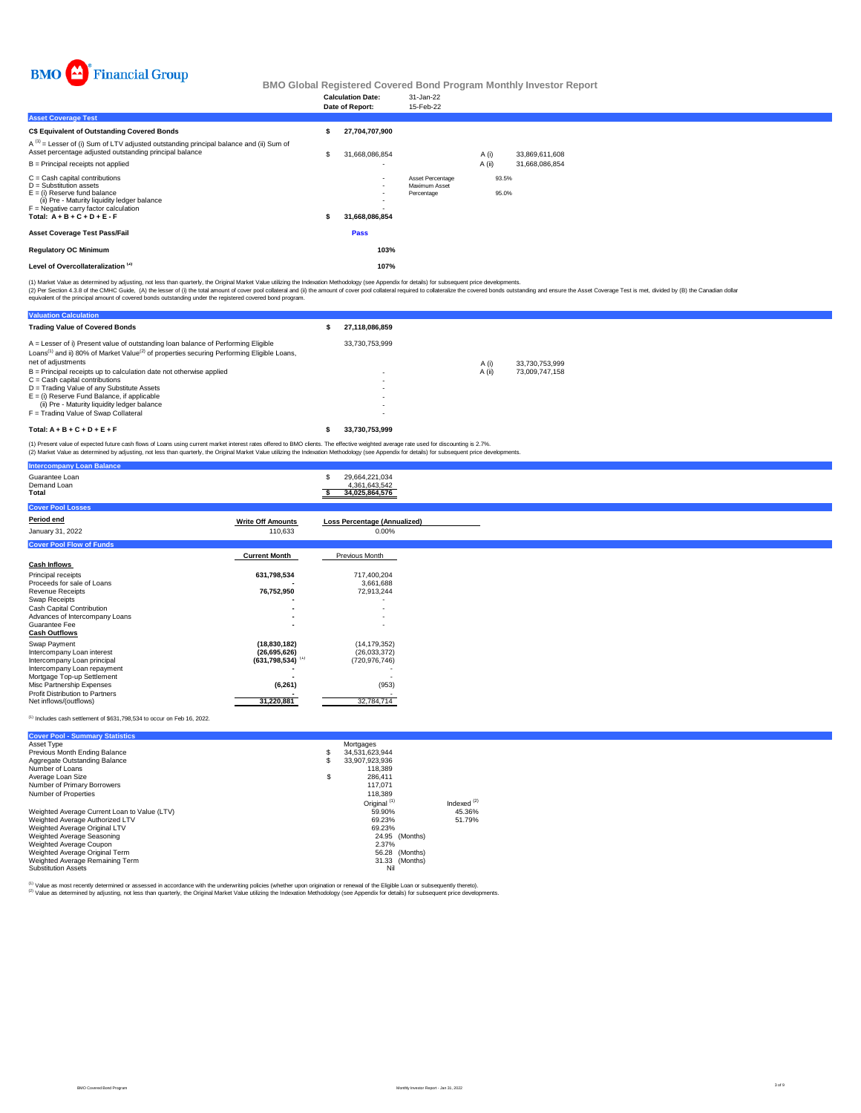

|                                                                                                                                                                                                                      | <b>Calculation Date:</b><br>Date of Report:      | 31-Jan-22<br>15-Feb-22                          |                |                |                                  |  |  |  |
|----------------------------------------------------------------------------------------------------------------------------------------------------------------------------------------------------------------------|--------------------------------------------------|-------------------------------------------------|----------------|----------------|----------------------------------|--|--|--|
| <b>Asset Coverage Test</b>                                                                                                                                                                                           |                                                  |                                                 |                |                |                                  |  |  |  |
| C\$ Equivalent of Outstanding Covered Bonds                                                                                                                                                                          | 27,704,707,900                                   |                                                 |                |                |                                  |  |  |  |
| $A^{(1)}$ = Lesser of (i) Sum of LTV adjusted outstanding principal balance and (ii) Sum of<br>Asset percentage adjusted outstanding principal balance<br>B = Principal receipts not applied                         | \$<br>31,668,086,854<br>$\overline{\phantom{0}}$ |                                                 | A(i)<br>A (ii) |                | 33,869,611,608<br>31,668,086,854 |  |  |  |
| C = Cash capital contributions<br>D = Substitution assets<br>E = (i) Reserve fund balance<br>(ii) Pre - Maturity liquidity ledger balance<br>F = Negative carry factor calculation<br>Total: $A + B + C + D + E - F$ | $\overline{\phantom{a}}$<br>31,668,086,854       | Asset Percentage<br>Maximum Asset<br>Percentage |                | 93.5%<br>95.0% |                                  |  |  |  |
| Asset Coverage Test Pass/Fail                                                                                                                                                                                        | Pass                                             |                                                 |                |                |                                  |  |  |  |
| <b>Regulatory OC Minimum</b>                                                                                                                                                                                         | 103%                                             |                                                 |                |                |                                  |  |  |  |
| Level of Overcollateralization <sup>(2)</sup>                                                                                                                                                                        | 107%                                             |                                                 |                |                |                                  |  |  |  |
|                                                                                                                                                                                                                      |                                                  |                                                 |                |                |                                  |  |  |  |

(1) Market Value as determined by adjusting, not less than quarterly, the Original Market Value utilizing the Indexation Methodology (see Appendix for details) for subsequent price developments.<br>(2) Per Section 4.3.8 of th

| <b>Valuation Calculation</b>                                                                                                                                                                                                 |                          |        |                |
|------------------------------------------------------------------------------------------------------------------------------------------------------------------------------------------------------------------------------|--------------------------|--------|----------------|
| <b>Trading Value of Covered Bonds</b>                                                                                                                                                                                        | 27.118.086.859           |        |                |
| A = Lesser of i) Present value of outstanding loan balance of Performing Eligible<br>Loans <sup>(1)</sup> and ii) 80% of Market Value <sup>(2)</sup> of properties securing Performing Eligible Loans,<br>net of adjustments | 33.730.753.999           | A (i)  | 33.730.753.999 |
| $B =$ Principal receipts up to calculation date not otherwise applied                                                                                                                                                        | $\overline{\phantom{0}}$ | A (ii) | 73.009.747.158 |
| $C =$ Cash capital contributions                                                                                                                                                                                             | $\overline{\phantom{0}}$ |        |                |
| D = Trading Value of any Substitute Assets                                                                                                                                                                                   | $\overline{\phantom{0}}$ |        |                |
| $E =$ (i) Reserve Fund Balance, if applicable                                                                                                                                                                                | $\overline{\phantom{0}}$ |        |                |
| (ii) Pre - Maturity liquidity ledger balance                                                                                                                                                                                 | $\overline{\phantom{0}}$ |        |                |
| F = Trading Value of Swap Collateral                                                                                                                                                                                         |                          |        |                |
| Total: $A + B + C + D + E + F$                                                                                                                                                                                               | 33.730.753.999           |        |                |

(1) Present value of expected future cash flows of Loans using current market interest rates offered to BMO clients. The effective weighted average rate used for discounting is 2.7%.<br>(2) Market Value as determined by adjus

| <b>Intercompany Loan Balance</b>                          |                                |                                                   |
|-----------------------------------------------------------|--------------------------------|---------------------------------------------------|
| Guarantee Loan<br>Demand Loan<br>Total                    |                                | 29,664,221,034<br>4,361,643,542<br>34,025,864,576 |
| <b>Cover Pool Losses</b>                                  |                                |                                                   |
| Period end                                                | <b>Write Off Amounts</b>       | Loss Percentage (Annualized)                      |
| January 31, 2022                                          | 110,633                        | 0.00%                                             |
| <b>Cover Pool Flow of Funds</b>                           |                                |                                                   |
|                                                           | <b>Current Month</b>           | Previous Month                                    |
| <b>Cash Inflows</b>                                       |                                |                                                   |
| Principal receipts                                        | 631,798,534                    | 717,400,204                                       |
| Proceeds for sale of Loans                                |                                | 3,661,688                                         |
| Revenue Receipts                                          | 76,752,950                     | 72,913,244                                        |
| Swap Receipts<br>Cash Capital Contribution                | ۰                              |                                                   |
| Advances of Intercompany Loans                            |                                |                                                   |
| Guarantee Fee                                             |                                |                                                   |
| <b>Cash Outflows</b>                                      |                                |                                                   |
| Swap Payment                                              | (18, 830, 182)                 | (14, 179, 352)                                    |
| Intercompany Loan interest                                | (26,695,626)                   | (26,033,372)                                      |
| Intercompany Loan principal                               | $(631,798,534)$ <sup>(1)</sup> | (720, 976, 746)                                   |
| Intercompany Loan repayment<br>Mortgage Top-up Settlement |                                |                                                   |
| Misc Partnership Expenses                                 | (6, 261)                       | (953)                                             |
| Profit Distribution to Partners                           |                                |                                                   |
| Net inflows/(outflows)                                    | 31,220,881                     | 32,784,714                                        |

#### $<sup>(1)</sup>$  Includes cash settlement of \$631,798,534 to occur on Feb 16, 2022.</sup>

| <b>Cover Pool - Summary Statistics</b>       |    |                         |                |               |
|----------------------------------------------|----|-------------------------|----------------|---------------|
| Asset Type                                   |    | Mortgages               |                |               |
| Previous Month Ending Balance                | s  | 34.531.623.944          |                |               |
| Aggregate Outstanding Balance                | S  | 33.907.923.936          |                |               |
| Number of Loans                              |    | 118.389                 |                |               |
| Average Loan Size                            | \$ | 286.411                 |                |               |
| Number of Primary Borrowers                  |    | 117.071                 |                |               |
| Number of Properties                         |    | 118.389                 |                |               |
|                                              |    | Original <sup>(1)</sup> |                | Indexed $(2)$ |
| Weighted Average Current Loan to Value (LTV) |    | 59.90%                  |                | 45.36%        |
| Weighted Average Authorized LTV              |    | 69.23%                  |                | 51.79%        |
| Weighted Average Original LTV                |    | 69.23%                  |                |               |
| Weighted Average Seasoning                   |    |                         | 24.95 (Months) |               |
| Weighted Average Coupon                      |    | 2.37%                   |                |               |
| Weighted Average Original Term               |    |                         | 56.28 (Months) |               |
| Weighted Average Remaining Term              |    |                         | 31.33 (Months) |               |
| <b>Substitution Assets</b>                   |    | Nil                     |                |               |

<sup>(1)</sup> Value as most recently determined or assessed in accordance with the underwriting policies (whether upon origination or renewal of the Eligible Loan or subsequently thereto).<br><sup>(2)</sup> Value as determined by adjusting, n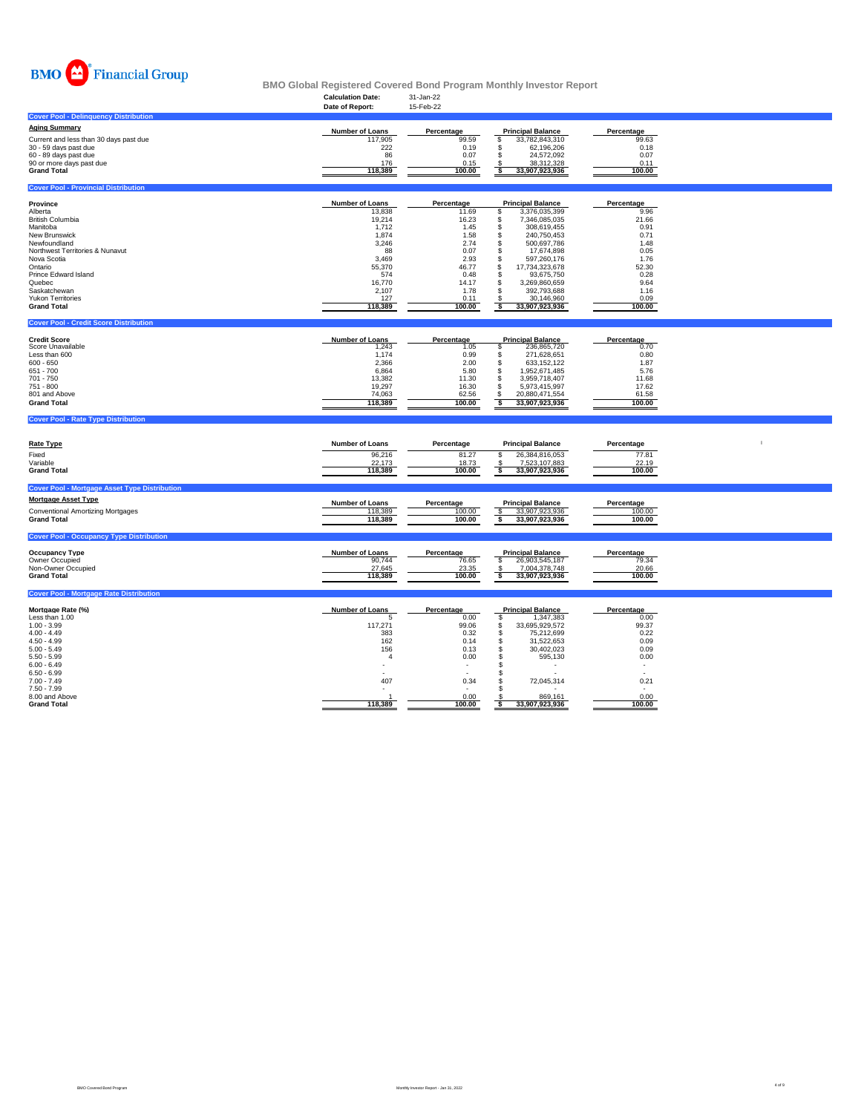

|                                                      | <b>Calculation Date:</b><br>Date of Report: | 31-Jan-22<br>15-Feb-22 |                                                  |                          |              |
|------------------------------------------------------|---------------------------------------------|------------------------|--------------------------------------------------|--------------------------|--------------|
| <b>Cover Pool - Delinquency Distribution</b>         |                                             |                        |                                                  |                          |              |
| <b>Aging Summary</b>                                 |                                             |                        |                                                  |                          |              |
| Current and less than 30 days past due               | Number of Loans<br>117,905                  | Percentage<br>99.59    | <b>Principal Balance</b><br>33,782,843,310<br>\$ | Percentage<br>99.63      |              |
| 30 - 59 days past due                                | 222                                         | 0.19                   | s.<br>62,196,206                                 | 0.18                     |              |
| 60 - 89 days past due                                | 86                                          | 0.07                   | s.<br>24,572,092                                 | 0.07                     |              |
| 90 or more days past due                             | 176                                         | 0.15                   | 38,312,328                                       | 0.11                     |              |
| <b>Grand Total</b>                                   | 118,389                                     | 100.00                 | 33,907,923,936<br>\$                             | 100.00                   |              |
|                                                      |                                             |                        |                                                  |                          |              |
| <b>Cover Pool - Provincial Distribution</b>          |                                             |                        |                                                  |                          |              |
|                                                      |                                             |                        |                                                  |                          |              |
| Province                                             | Number of Loans                             | Percentage             | <b>Principal Balance</b>                         | Percentage               |              |
| Alberta                                              | 13,838                                      | 11.69                  | \$<br>3,376,035,399                              | 9.96                     |              |
| <b>British Columbia</b><br>Manitoba                  | 19,214                                      | 16.23<br>1.45          | 7,346,085,035<br>\$<br>\$                        | 21.66<br>0.91            |              |
| New Brunswick                                        | 1,712<br>1,874                              | 1.58                   | 308,619,455<br>240,750,453<br>s                  | 0.71                     |              |
| Newfoundland                                         | 3,246                                       | 2.74                   | \$.<br>500,697,786                               | 1.48                     |              |
| Northwest Territories & Nunavut                      | 88                                          | 0.07                   | \$<br>17,674,898                                 | 0.05                     |              |
| Nova Scotia                                          | 3,469                                       | 2.93                   | s<br>597,260,176                                 | 1.76                     |              |
| Ontario                                              | 55,370                                      | 46.77                  | \$<br>17,734,323,678                             | 52.30                    |              |
| Prince Edward Island                                 | 574                                         | 0.48                   | \$<br>93,675,750                                 | 0.28                     |              |
| Quebec                                               | 16,770                                      | 14.17                  | £.<br>3,269,860,659                              | 9.64                     |              |
| Saskatchewan                                         | 2,107                                       | 1.78                   | \$<br>392,793,688                                | 1.16                     |              |
| <b>Yukon Territories</b>                             | 127                                         | 0.11                   | 30,146,960                                       | 0.09                     |              |
| <b>Grand Total</b>                                   | 118,389                                     | 100.00                 | \$<br>33,907,923,936                             | 100.00                   |              |
|                                                      |                                             |                        |                                                  |                          |              |
| <b>Cover Pool - Credit Score Distribution</b>        |                                             |                        |                                                  |                          |              |
| <b>Credit Score</b>                                  | <b>Number of Loans</b>                      | Percentage             | <b>Principal Balance</b>                         | Percentage               |              |
| Score Unavailable                                    | 1,243                                       | 1.05                   | s<br>236,865,720                                 | 0.70                     |              |
| Less than 600                                        | 1,174                                       | 0.99                   | 271,628,651<br>\$                                | 0.80                     |              |
| $600 - 650$                                          | 2,366                                       | 2.00                   | \$<br>633,152,122                                | 1.87                     |              |
| 651 - 700                                            | 6.864                                       | 5.80                   | 1,952,671,485<br>\$                              | 5.76                     |              |
| 701 - 750                                            | 13,382                                      | 11.30                  | 3,959,718,407<br>\$                              | 11.68                    |              |
| 751 - 800                                            | 19,297                                      | 16.30                  | \$<br>5,973,415,997                              | 17.62                    |              |
| 801 and Above                                        | 74,063                                      | 62.56                  | \$<br>20,880,471,554                             | 61.58                    |              |
| <b>Grand Total</b>                                   | 118,389                                     | 100.00                 | s<br>33,907,923,936                              | 100.00                   |              |
| <b>Cover Pool - Rate Type Distribution</b>           |                                             |                        |                                                  |                          |              |
|                                                      |                                             |                        |                                                  |                          |              |
|                                                      |                                             |                        |                                                  |                          |              |
| <b>Rate Type</b>                                     | Number of Loans                             | Percentage             | <b>Principal Balance</b>                         | Percentage               | $\mathbf{I}$ |
| Fixed                                                | 96,216                                      | 81.27                  | 26,384,816,053<br>S                              | 77.81                    |              |
| Variable                                             | 22,173                                      | 18.73                  | 7,523,107,883                                    | 22.19                    |              |
| <b>Grand Total</b>                                   | 118,389                                     | 100.00                 | s<br>33,907,923,936                              | 100.00                   |              |
|                                                      |                                             |                        |                                                  |                          |              |
| <b>Cover Pool - Mortgage Asset Type Distribution</b> |                                             |                        |                                                  |                          |              |
| <b>Mortgage Asset Type</b>                           | <b>Number of Loans</b>                      |                        | <b>Principal Balance</b>                         | Percentage               |              |
| <b>Conventional Amortizing Mortgages</b>             | 118,389                                     | Percentage<br>100.00   | \$<br>33,907,923,936                             | 100.00                   |              |
| <b>Grand Total</b>                                   | 118,389                                     | 100.00                 | \$<br>33,907,923,936                             | 100.00                   |              |
|                                                      |                                             |                        |                                                  |                          |              |
| <b>Cover Pool - Occupancy Type Distribution</b>      |                                             |                        |                                                  |                          |              |
|                                                      |                                             |                        |                                                  |                          |              |
| <b>Occupancy Type</b>                                | <b>Number of Loans</b>                      | Percentage             | <b>Principal Balance</b>                         | Percentage               |              |
| Owner Occupied                                       | 90,744                                      | 76.65                  | \$<br>26,903,545,187<br>7,004,378,748            | 79.34                    |              |
| Non-Owner Occupied<br><b>Grand Total</b>             |                                             | 23.35                  | £.                                               | 20.66                    |              |
|                                                      | 27,645                                      |                        |                                                  |                          |              |
|                                                      | 118,389                                     | 100.00                 | 33,907,923,936<br>-S                             | 100.00                   |              |
|                                                      |                                             |                        |                                                  |                          |              |
| <b>Cover Pool - Mortgage Rate Distribution</b>       |                                             |                        |                                                  |                          |              |
| Mortgage Rate (%)                                    |                                             |                        | <b>Principal Balance</b>                         |                          |              |
| Less than 1.00                                       | Number of Loans<br>5                        | Percentage<br>0.00     | \$<br>1,347,383                                  | Percentage<br>0.00       |              |
| $1.00 - 3.99$                                        | 117,271                                     | 99.06                  | \$<br>33,695,929,572                             | 99.37                    |              |
| $4.00 - 4.49$                                        | 383                                         | 0.32                   | \$<br>75,212,699                                 | 0.22                     |              |
| $4.50 - 4.99$                                        | 162                                         | 0.14                   | $\mathbb{S}$<br>31,522,653                       | 0.09                     |              |
| $5.00 - 5.49$                                        | 156                                         | 0.13                   | \$<br>30,402,023                                 | 0.09                     |              |
| $5.50 - 5.99$                                        | $\overline{4}$                              | 0.00                   | \$<br>595,130                                    | 0.00                     |              |
| $6.00 - 6.49$                                        | $\overline{\phantom{a}}$                    |                        | \$<br>$\overline{\phantom{a}}$                   | $\overline{\phantom{a}}$ |              |
| $6.50 - 6.99$                                        |                                             |                        | \$                                               |                          |              |
| $7.00 - 7.49$<br>$7.50 - 7.99$                       | 407                                         | 0.34                   | \$<br>72,045,314<br>s                            | 0.21                     |              |
| 8.00 and Above<br><b>Grand Total</b>                 | 118,389                                     | 0.00<br>100.00         | 869,161<br>S<br>33,907,923,936                   | 0.00<br>100.00           |              |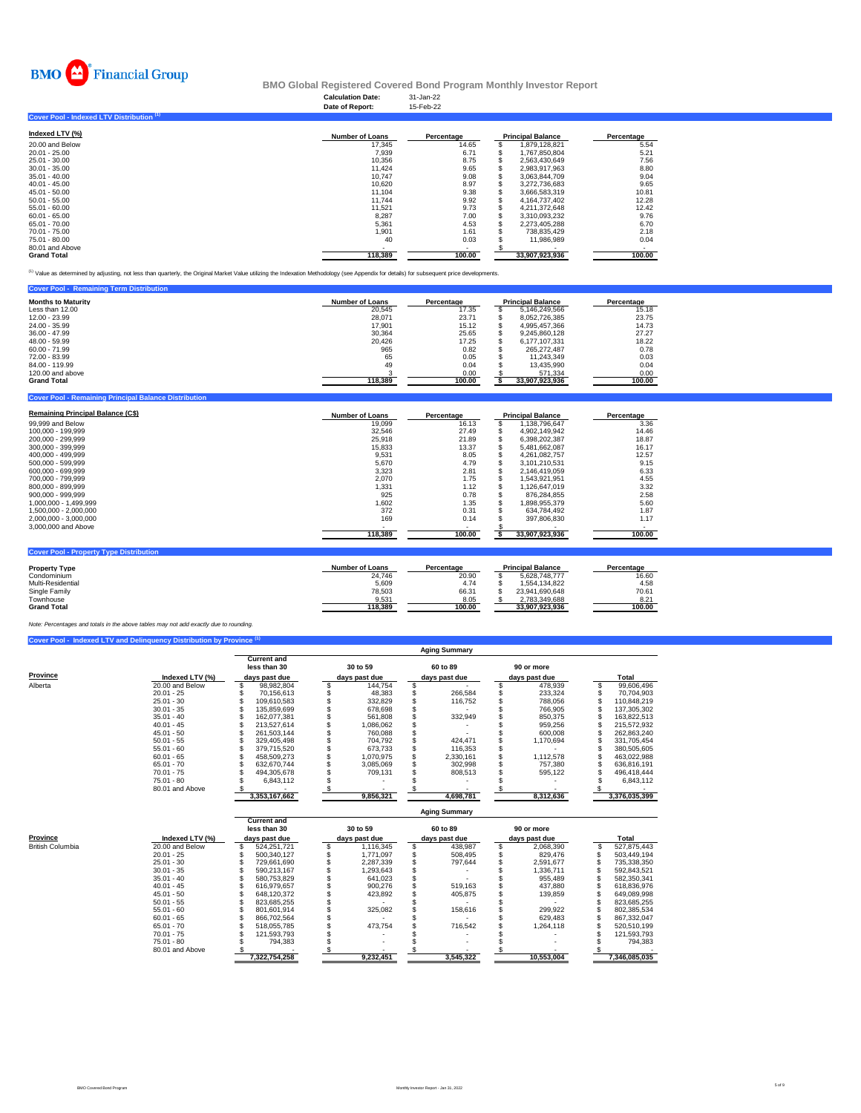

### **Calculation Date:** 31-Jan-22 **BMO Global Registered Covered Bond Program Monthly Investor Report**

|                                           | Date of Report:        | 15-Feb-22                |                          |            |
|-------------------------------------------|------------------------|--------------------------|--------------------------|------------|
| Cover Pool - Indexed LTV Distribution (1) |                        |                          |                          |            |
| Indexed LTV (%)                           | <b>Number of Loans</b> | Percentage               | <b>Principal Balance</b> | Percentage |
| 20.00 and Below                           | 17,345                 | 14.65                    | 1,879,128,821            | 5.54       |
| $20.01 - 25.00$                           | 7,939                  | 6.71                     | 1,767,850,804            | 5.21       |
| 25.01 - 30.00                             | 10,356                 | 8.75                     | 2,563,430,649            | 7.56       |
| $30.01 - 35.00$                           | 11.424                 | 9.65                     | 2.983.917.963            | 8.80       |
| $35.01 - 40.00$                           | 10.747                 | 9.08                     | 3.063.844.709            | 9.04       |
| $40.01 - 45.00$                           | 10.620                 | 8.97                     | 3.272.736.683            | 9.65       |
| $45.01 - 50.00$                           | 11.104                 | 9.38                     | 3.666.583.319            | 10.81      |
| $50.01 - 55.00$                           | 11.744                 | 9.92                     | 4.164.737.402            | 12.28      |
| $55.01 - 60.00$                           | 11.521                 | 9.73                     | 4.211.372.648            | 12.42      |
| $60.01 - 65.00$                           | 8,287                  | 7.00                     | 3,310,093,232            | 9.76       |
| 65.01 - 70.00                             | 5,361                  | 4.53                     | 2,273,405,288            | 6.70       |
| 70.01 - 75.00                             | 1,901                  | 1.61                     | 738.835.429              | 2.18       |
| 75.01 - 80.00                             | 40                     | 0.03                     | 11,986,989               | 0.04       |
| 80.01 and Above                           |                        | $\overline{\phantom{a}}$ |                          |            |
| <b>Grand Total</b>                        | 118.389                | 100.00                   | 33,907,923,936           | 100.00     |

<sup>(1)</sup> Value as determined by adjusting, not less than quarterly, the Original Market Value utilizing the Indexation Methodology (see Appendix for details) for subsequent price developments.

| <b>Cover Pool - Remaining Term Distribution</b> |                        |            |                          |            |
|-------------------------------------------------|------------------------|------------|--------------------------|------------|
| <b>Months to Maturity</b>                       | <b>Number of Loans</b> | Percentage | <b>Principal Balance</b> | Percentage |
| Less than 12.00                                 | 20.545                 | 17.35      | 5.146.249.566            | 15.18      |
| 12.00 - 23.99                                   | 28.071                 | 23.71      | 8.052.726.385            | 23.75      |
| 24.00 - 35.99                                   | 17.901                 | 15.12      | 4.995.457.366            | 14.73      |
| 36.00 - 47.99                                   | 30.364                 | 25.65      | 9.245.860.128            | 27.27      |
| 48.00 - 59.99                                   | 20.426                 | 17.25      | 6.177.107.331            | 18.22      |
| $60.00 - 71.99$                                 | 965                    | 0.82       | 265.272.487              | 0.78       |
| 72.00 - 83.99                                   | 65                     | 0.05       | 11.243.349               | 0.03       |
| 84.00 - 119.99                                  | 49                     | 0.04       | 13.435.990               | 0.04       |
| 120,00 and above                                |                        | 0.00       | 571.334                  | 0.00       |
| <b>Grand Total</b>                              | 118.389                | 100.00     | 33.907.923.936           | 100.00     |

| <b>Cover Pool - Remaining Principal Balance Distribution</b> |                        |                          |                          |            |
|--------------------------------------------------------------|------------------------|--------------------------|--------------------------|------------|
| <b>Remaining Principal Balance (C\$)</b>                     | Number of Loans        | Percentage               | <b>Principal Balance</b> | Percentage |
| 99,999 and Below                                             | 19,099                 | 16.13                    | 1,138,796,647            | 3.36       |
| 100,000 - 199,999                                            | 32,546                 | 27.49                    | 4,902,149,942            | 14.46      |
| 200.000 - 299.999                                            | 25.918                 | 21.89                    | 6.398.202.387            | 18.87      |
| 300.000 - 399.999                                            | 15,833                 | 13.37                    | S.<br>5.481.662.087      | 16.17      |
| 400.000 - 499.999                                            | 9.531                  | 8.05                     | 4.261.082.757            | 12.57      |
| 500.000 - 599.999                                            | 5.670                  | 4.79                     | \$<br>3.101.210.531      | 9.15       |
| 600.000 - 699.999                                            | 3.323                  | 2.81                     | \$<br>2.146.419.059      | 6.33       |
| 700.000 - 799.999                                            | 2,070                  | 1.75                     | 1,543,921,951            | 4.55       |
| 800.000 - 899.999                                            | 1,331                  | 1.12                     | 1.126.647.019            | 3.32       |
| 900.000 - 999.999                                            | 925                    | 0.78                     | 876.284.855              | 2.58       |
| 1,000,000 - 1,499,999                                        | 1,602                  | 1.35                     | 1.898.955.379            | 5.60       |
| 1.500.000 - 2.000.000                                        | 372                    | 0.31                     | 634.784.492              | 1.87       |
| 2,000,000 - 3,000,000                                        | 169                    | 0.14                     | 397,806,830              | 1.17       |
| 3,000,000 and Above                                          |                        | $\overline{\phantom{0}}$ |                          |            |
|                                                              | 118,389                | 100.00                   | 33,907,923,936           | 100.00     |
|                                                              |                        |                          |                          |            |
| <b>Cover Pool - Property Type Distribution</b>               |                        |                          |                          |            |
|                                                              |                        |                          |                          |            |
| <b>Property Type</b>                                         | <b>Number of Loans</b> | Percentage               | <b>Principal Balance</b> | Percentage |
| Condominium                                                  | 24,746                 | 20.90                    | 5,628,748,777            | 16.60      |

| Single Family      | 78.503  | 66.31  | 23.941.690.648 | 70.61  |
|--------------------|---------|--------|----------------|--------|
| Townhouse          | 9.531   | 8.05   | 2.783.349.688  | 8.21   |
| <b>Grand Total</b> | 118.389 | 100.00 | 33.907.923.936 | 100.00 |
|                    |         |        |                |        |

*Note: Percentages and totals in the above tables may not add exactly due to rounding.*

|          |                 | <b>Aging Summary</b>                                |               |                           |           |  |               |  |               |  |               |  |  |  |  |
|----------|-----------------|-----------------------------------------------------|---------------|---------------------------|-----------|--|---------------|--|---------------|--|---------------|--|--|--|--|
|          |                 | <b>Current and</b><br>less than 30<br>days past due |               | 30 to 59<br>days past due |           |  | 60 to 89      |  | 90 or more    |  |               |  |  |  |  |
| Province | Indexed LTV (%) |                                                     |               |                           |           |  | days past due |  | days past due |  | Total         |  |  |  |  |
| Alberta  | 20.00 and Below |                                                     | 98,982,804    |                           | 144.754   |  |               |  | 478.939       |  | 99,606,496    |  |  |  |  |
|          | $20.01 - 25$    |                                                     | 70.156.613    |                           | 48.383    |  | 266.584       |  | 233.324       |  | 70.704.903    |  |  |  |  |
|          | $25.01 - 30$    |                                                     | 109.610.583   |                           | 332.829   |  | 116.752       |  | 788.056       |  | 110.848.219   |  |  |  |  |
|          | $30.01 - 35$    |                                                     | 135.859.699   |                           | 678,698   |  |               |  | 766.905       |  | 137.305.302   |  |  |  |  |
|          | $35.01 - 40$    |                                                     | 162.077.381   |                           | 561,808   |  | 332.949       |  | 850.375       |  | 163.822.513   |  |  |  |  |
|          | $40.01 - 45$    |                                                     | 213.527.614   |                           | 086.062   |  |               |  | 959.256       |  | 215.572.932   |  |  |  |  |
|          | $45.01 - 50$    |                                                     | 261.503.144   |                           | 760,088   |  |               |  | 600.008       |  | 262.863.240   |  |  |  |  |
|          | $50.01 - 55$    |                                                     | 329.405.498   |                           | 704.792   |  | 424.471       |  | 1.170.694     |  | 331,705,454   |  |  |  |  |
|          | $55.01 - 60$    |                                                     | 379.715.520   |                           | 673.733   |  | 116.353       |  |               |  | 380.505.605   |  |  |  |  |
|          | $60.01 - 65$    |                                                     | 458.509.273   |                           | 1,070,975 |  | 2,330,161     |  | 1,112,578     |  | 463,022,988   |  |  |  |  |
|          | $65.01 - 70$    |                                                     | 632.670.744   |                           | 3.085.069 |  | 302,998       |  | 757.380       |  | 636.816.191   |  |  |  |  |
|          | $70.01 - 75$    |                                                     | 494.305.678   |                           | 709.131   |  | 808.513       |  | 595.122       |  | 496.418.444   |  |  |  |  |
|          | $75.01 - 80$    |                                                     | 6,843,112     |                           |           |  |               |  |               |  | 6,843,112     |  |  |  |  |
|          | 80.01 and Above |                                                     |               |                           |           |  |               |  |               |  |               |  |  |  |  |
|          |                 |                                                     | 3,353,167,662 |                           | 9,856,321 |  | 4,698,781     |  | 8,312,636     |  | 3,376,035,399 |  |  |  |  |

|                         |                 | Aynıy Juninary                                      |               |               |                          |  |                          |               |            |  |               |  |
|-------------------------|-----------------|-----------------------------------------------------|---------------|---------------|--------------------------|--|--------------------------|---------------|------------|--|---------------|--|
|                         |                 | <b>Current and</b><br>less than 30<br>days past due |               |               | 30 to 59                 |  | 60 to 89                 |               | 90 or more |  |               |  |
| Province                | Indexed LTV (%) |                                                     |               | days past due |                          |  | days past due            | days past due |            |  | Total         |  |
| <b>British Columbia</b> | 20.00 and Below |                                                     | 524.251.721   |               | 1.116.345                |  | 438.987                  |               | 2.068.390  |  | 527.875.443   |  |
|                         | $20.01 - 25$    |                                                     | 500.340.127   |               | 1.771.097                |  | 508.495                  |               | 829.476    |  | 503.449.194   |  |
|                         | $25.01 - 30$    |                                                     | 729.661.690   |               | 2.287.339                |  | 797.644                  |               | 2.591.677  |  | 735.338.350   |  |
|                         | $30.01 - 35$    |                                                     | 590.213.167   |               | 1.293.643                |  |                          |               | 1.336.711  |  | 592.843.521   |  |
|                         | $35.01 - 40$    |                                                     | 580.753.829   |               | 641.023                  |  |                          |               | 955.489    |  | 582.350.341   |  |
|                         | $40.01 - 45$    |                                                     | 616.979.657   |               | 900.276                  |  | 519.163                  |               | 437.880    |  | 618.836.976   |  |
|                         | $45.01 - 50$    |                                                     | 648.120.372   |               | 423.892                  |  | 405.875                  |               | 139.859    |  | 649.089.998   |  |
|                         | $50.01 - 55$    |                                                     | 823.685.255   |               |                          |  |                          |               |            |  | 823.685.255   |  |
|                         | $55.01 - 60$    |                                                     | 801.601.914   |               | 325.082                  |  | 158.616                  |               | 299.922    |  | 802.385.534   |  |
|                         | $60.01 - 65$    |                                                     | 866.702.564   |               |                          |  |                          |               | 629.483    |  | 867.332.047   |  |
|                         | $65.01 - 70$    |                                                     | 518.055.785   |               | 473.754                  |  | 716.542                  |               | 1.264.118  |  | 520.510.199   |  |
|                         | $70.01 - 75$    |                                                     | 121.593.793   |               |                          |  |                          |               |            |  | 121.593.793   |  |
|                         | $75.01 - 80$    |                                                     | 794.383       |               | $\overline{\phantom{0}}$ |  | $\overline{\phantom{0}}$ |               |            |  | 794.383       |  |
|                         | 80.01 and Above |                                                     |               |               |                          |  |                          |               |            |  |               |  |
|                         |                 |                                                     | 7.322.754.258 |               | 9.232.451                |  | 3.545.322                |               | 10.553.004 |  | 7,346,085,035 |  |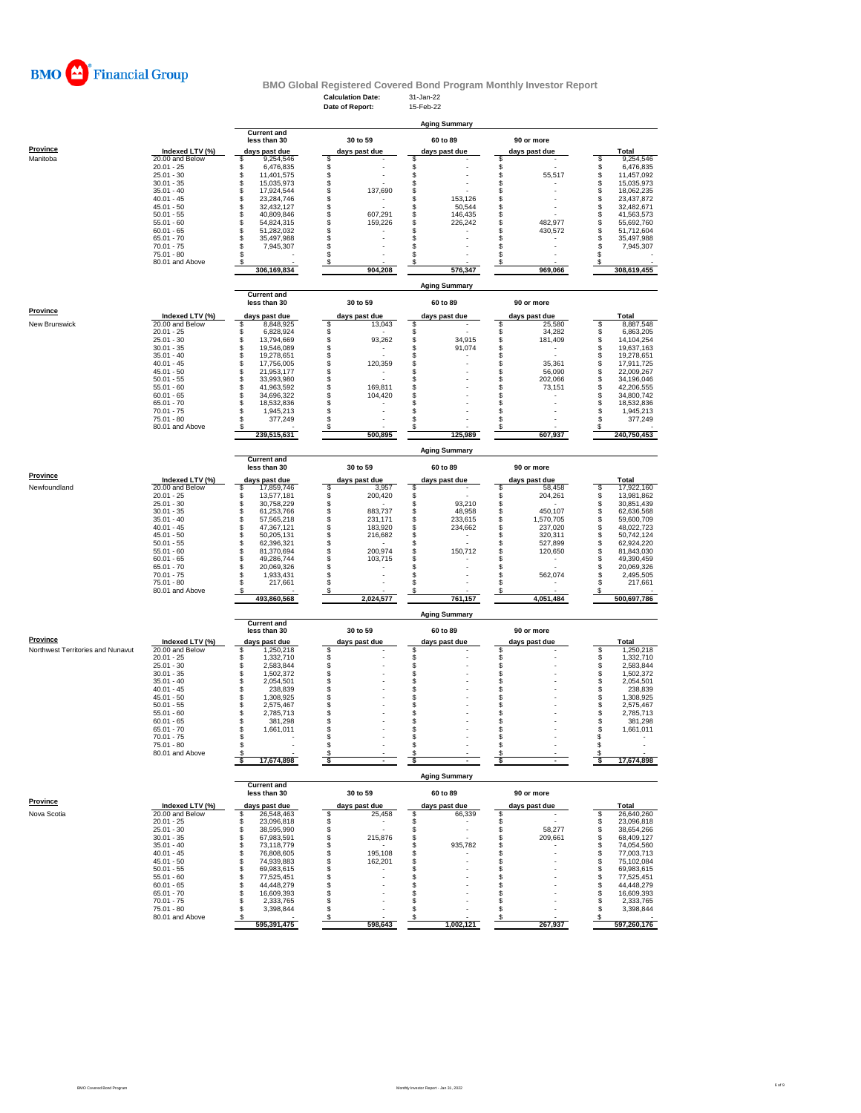

#### **Calculation Date:** 31-Jan-22 **Date of Report: Current and less than 30 30 to 59 60 to 89 90 or more Province Indexed LTV (%) days past due days past due days past due days past due Total** Manitoba 20.00 and Below \$ 9,254,546 \$ - \$ - \$ - \$ 9,254,546 20.01 - 25 \$ 6,476,835 \$ - \$ - \$ 5 6,476,835 25.01 - 30 \$ 11,401,575 \$ - \$ - \$ 55,517 \$ 11,457,092 30.01 - 35 \$ 15,035,973 \$ - \$ - \$ - \$ 15,035,973 35.01 - 40 \$ 17,924,544 \$ 137,690 \$ - \$ - \$ 18,062,235 40.01 - 45 \$ 23,284,746 \$ - \$ 153,126 \$ - \$ 23,437,872 45.01 - 50 \$ 32,432,127 \$ - \$ 50,544 \$ - \$ 32,482,671 50.01 - 55 \$ 40,809,846 \$ 607,291 \$ 146,435 \$ - \$ 41,563,573 55.01 - 60 \$ 54,824,315 \$ 159,226 \$ 226,242 \$ 482,977 \$ 55,692,760 60.01 - 65 \$ 51,282,032 \$ - \$ - \$ 430,572 \$ 51,712,604 65.01 - 70 \$ 35,497,988 \$ - \$ - \$ - \$ 35,497,988 70.01 - 75 \$ 7,945,307 \$ - \$ - \$ - \$ 7,945,307 75.01 - 80 \$ - \$ - \$ - \$ - \$ - 80.01 and Above \$ - \$ - \$ - \$ - \$ - \$  **306,169,834 904,208 576,347 969,066 308,619,455 Current and less than 30 30 to 59 60 to 89 90 or more** — <u>Indexed LTV (%) days past due days past due days past due days past due days past due of the Total<br>20.00 and Below 5 8.887,548,925 5 13.043 5 .<br>20.01 - 25 8.863,205 \$ 8.828,924 \$ .</u> 25.01 - 30 \$ 13,794,669 \$ 93,262 \$ 34,915 \$ 181,409 \$ 14,104,254 30.01 - 35 \$ 19,546,089 \$ - \$ 91,074 \$ - \$ 19,637,163 35.01 - 40 \$ 19,278,651 \$ - \$ - \$ 5 19,278,651 40.01 - 45 \$ 17,756,005 \$ 120,359 \$ - \$ 35,361 \$ 17,911,725 45.01 - 50 \$ 21,953,177 \$ - \$ - \$ 56,090 \$ 22,009,267 50.01 - 55 \$ 33,993,980 \$ - \$ - \$ 202,066 \$ 34,196,046 55.01 - 60 \$ 41,963,592 \$ 169,811 \$ - \$ 73,151 \$ 42,206,555 60.01 - 65 \$ 34,696,322 \$ 104,420 \$ - \$ - \$ 34,800,742 65.01 - 70 \$ 18,532,836 \$ - \$ - \$ - \$ 18,532,836 70.01 - 75 \$ 1,945,213 \$ - \$ - \$ - \$ 1,945,213 80.01 - 66  $\overline{)}\begin{matrix}\n3.01 & 0.05 & 0.01 & 0.05 & 0.01 & 0.05 & 0.01 & 0.01 & 0.01 & 0.01 & 0.01 & 0.01 & 0.01 & 0.01 & 0.01 & 0.01 & 0.01 & 0.01 & 0.01 & 0.01 & 0.01 & 0.01 & 0.01 & 0.01 & 0.01 & 0.01 & 0.01 & 0.01 & 0.01 & 0.01 & 0.01 & 0.01 & 0.01 &$ **Aging Summary Aging Summary**

75.01 - 80 \$ 377,249 \$ - \$ - \$ - \$ 377,249

40.01 - 45 \$ 238,839 \$ - \$ - \$ - \$ 238,839

**BMO Global Registered Covered Bond Program Monthly Investor Report**

|                                   |                 | <b>Aging Summary</b>                                |                    |  |               |  |                      |  |               |   |             |  |
|-----------------------------------|-----------------|-----------------------------------------------------|--------------------|--|---------------|--|----------------------|--|---------------|---|-------------|--|
|                                   |                 | <b>Current and</b><br>less than 30<br>days past due |                    |  | 30 to 59      |  | 60 to 89             |  | 90 or more    |   |             |  |
| Province                          | Indexed LTV (%) |                                                     |                    |  | days past due |  | days past due        |  | days past due |   | Total       |  |
| Newfoundland                      | 20.00 and Below |                                                     | 17,859,746         |  | 3,957         |  |                      |  | 58,458        | s | 17,922,160  |  |
|                                   | $20.01 - 25$    |                                                     | 13.577.181         |  | 200,420       |  |                      |  | 204,261       |   | 13,981,862  |  |
|                                   | $25.01 - 30$    |                                                     | 30.758.229         |  |               |  | 93,210               |  |               |   | 30.851.439  |  |
|                                   | $30.01 - 35$    |                                                     | 61,253,766         |  | 883,737       |  | 48.958               |  | 450.107       |   | 62,636,568  |  |
|                                   | $35.01 - 40$    |                                                     | 57.565.218         |  | 231.171       |  | 233.615              |  | 1.570.705     |   | 59.600.709  |  |
|                                   | $40.01 - 45$    |                                                     | 47.367.121         |  | 183.920       |  | 234,662              |  | 237.020       |   | 48,022,723  |  |
|                                   | $45.01 - 50$    |                                                     | 50.205.131         |  | 216,682       |  |                      |  | 320.311       | s | 50.742.124  |  |
|                                   | $50.01 - 55$    |                                                     | 62.396.321         |  |               |  |                      |  | 527.899       |   | 62.924.220  |  |
|                                   | $55.01 - 60$    |                                                     | 81.370.694         |  | 200.974       |  | 150.712              |  | 120,650       |   | 81.843.030  |  |
|                                   | $60.01 - 65$    |                                                     | 49.286.744         |  | 103,715       |  |                      |  |               |   | 49,390,459  |  |
|                                   | $65.01 - 70$    |                                                     | 20.069.326         |  |               |  |                      |  |               |   | 20,069,326  |  |
|                                   | $70.01 - 75$    |                                                     | 1,933,431          |  |               |  |                      |  | 562,074       |   | 2,495,505   |  |
|                                   | $75.01 - 80$    |                                                     | 217,661            |  |               |  |                      |  |               |   | 217,661     |  |
|                                   | 80.01 and Above |                                                     |                    |  |               |  |                      |  |               |   |             |  |
|                                   |                 |                                                     | 493,860,568        |  | 2,024,577     |  | 761,157              |  | 4,051,484     |   | 500,697,786 |  |
|                                   |                 |                                                     |                    |  |               |  | <b>Aging Summary</b> |  |               |   |             |  |
|                                   |                 |                                                     | <b>Current and</b> |  |               |  |                      |  |               |   |             |  |
|                                   |                 |                                                     | less than 30       |  | 30 to 59      |  | 60 to 89             |  | 90 or more    |   |             |  |
| Province                          | Indexed LTV (%) |                                                     | days past due      |  | days past due |  | days past due        |  | days past due |   | Total       |  |
| Northwest Territories and Nunavut | 20.00 and Below |                                                     | ,250,218           |  |               |  |                      |  |               |   | 1,250,218   |  |
|                                   | $20.01 - 25$    |                                                     | 1,332,710          |  |               |  |                      |  |               |   | 1,332,710   |  |
|                                   | $25.01 - 30$    |                                                     | 2.583.844          |  |               |  |                      |  |               |   | 2,583,844   |  |
|                                   | $30.01 - 35$    |                                                     | 1,502,372          |  |               |  |                      |  |               |   | 1,502,372   |  |
|                                   | $35.01 - 40$    |                                                     | 2.054.501          |  |               |  |                      |  |               |   | 2,054,501   |  |

 **239,515,631 500,895 125,989 607,937 240,750,453**

|             | $45.01 - 50$    | 1,308,925          |               |                      |               | 1,308,925  |
|-------------|-----------------|--------------------|---------------|----------------------|---------------|------------|
|             | $50.01 - 55$    | 2,575,467          |               |                      |               | 2,575,467  |
|             | $55.01 - 60$    | 2,785,713          |               |                      |               | 2,785,713  |
|             | $60.01 - 65$    | 381,298            |               |                      |               | 381,298    |
|             | $65.01 - 70$    | 1,661,011          |               |                      |               | 1,661,011  |
|             | $70.01 - 75$    |                    |               |                      |               |            |
|             | $75.01 - 80$    |                    |               |                      |               |            |
|             | 80.01 and Above |                    |               |                      |               |            |
|             |                 | 17,674,898         |               |                      |               | 17,674,898 |
|             |                 |                    |               | <b>Aging Summary</b> |               |            |
|             |                 | <b>Current and</b> |               |                      |               |            |
|             |                 | less than 30       | 30 to 59      | 60 to 89             | 90 or more    |            |
| Province    | Indexed LTV (%) | days past due      | days past due | days past due        | days past due | Total      |
| Nova Scotia | 20.00 and Below | 26,548,463         | 25,458        | 66,339               |               | 26,640,260 |
|             | $20.01 - 25$    | 23,096,818         |               |                      |               | 23,096,818 |
|             | $25.01 - 30$    | 38,595,990         |               |                      | 58,277        | 38,654,266 |
|             | $30.01 - 35$    | 67,983,591         | 215,876       |                      | 209,661       | 68,409,127 |
|             | $35.01 - 40$    | 73,118,779         |               | 935,782              |               | 74,054,560 |
|             | $40.01 - 45$    | 76.808.605         | 195,108       |                      |               | 77,003,713 |
|             | $45.01 - 50$    | 74,939,883         | 162,201       |                      |               | 75,102,084 |
|             | $50.01 - 55$    | 69,983,615         |               |                      |               | 69,983,615 |
|             | $55.01 - 60$    | 77,525,451         |               |                      |               | 77,525,451 |
|             | $60.01 - 65$    | 44,448,279         |               |                      |               | 44,448,279 |
|             | $65.01 - 70$    | 16,609,393         |               |                      |               | 16,609,393 |
|             | $70.01 - 75$    | 2,333,765          |               |                      |               | 2,333,765  |
|             | $75.01 - 80$    | 3,398,844          |               |                      |               | 3,398,844  |
|             | 80.01 and Above |                    |               |                      |               |            |

 **595,391,475 598,643 1,002,121 267,937 597,260,176**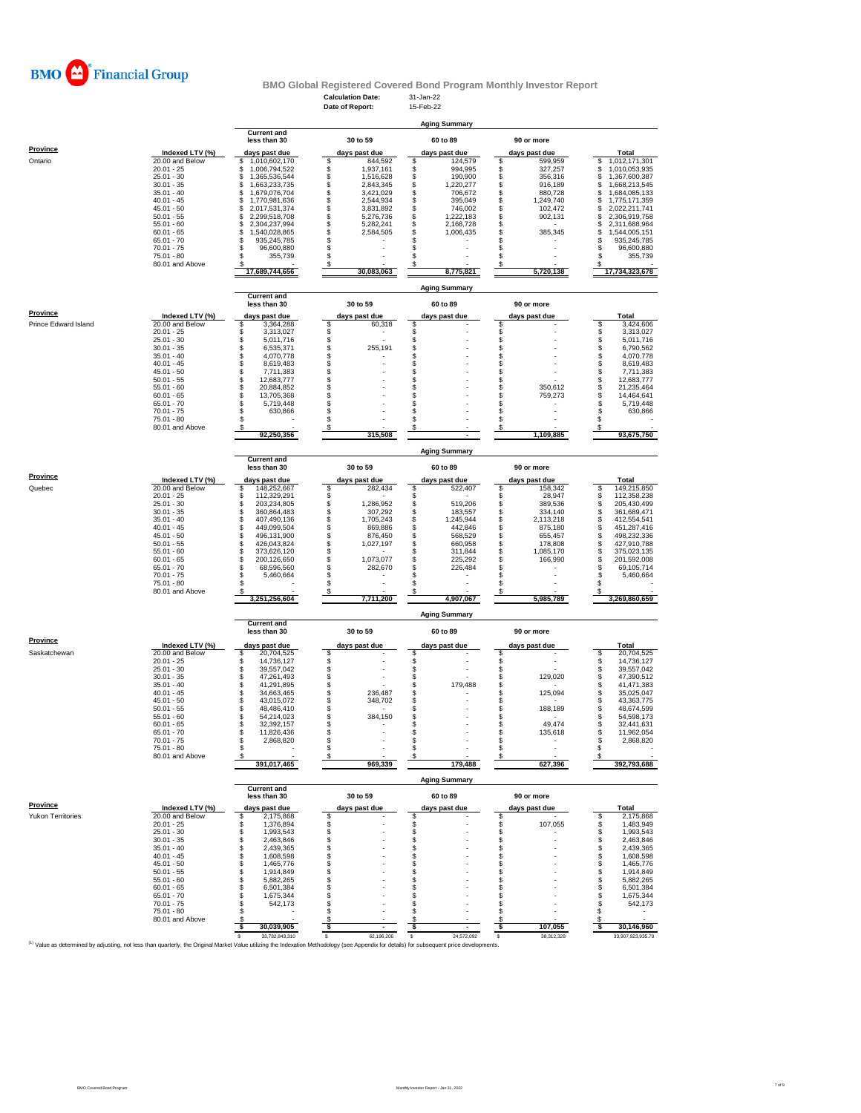

# **BMO Global Registered Covered Bond Program Monthly Investor Report**<br>Calculation Date: 31-Jan-22<br>Date of Report: 15-Feb-22

|                      |                                    |                                            | <b>Calculation Date:</b>           | 31-Jan-22                        |                                  |                                            |  |  |
|----------------------|------------------------------------|--------------------------------------------|------------------------------------|----------------------------------|----------------------------------|--------------------------------------------|--|--|
|                      |                                    |                                            | Date of Report:                    | 15-Feb-22                        |                                  |                                            |  |  |
|                      |                                    |                                            |                                    | <b>Aging Summary</b>             |                                  |                                            |  |  |
|                      |                                    | <b>Current and</b>                         |                                    |                                  |                                  |                                            |  |  |
|                      |                                    | less than 30                               | 30 to 59                           | 60 to 89                         | 90 or more                       |                                            |  |  |
| <b>Province</b>      | Indexed LTV (%)                    | days past due                              | days past due                      | days past due                    | days past due                    | Total                                      |  |  |
| Ontario              | 20.00 and Below<br>$20.01 - 25$    | 1,010,602,170<br>S<br>\$<br>1,006,794,522  | \$<br>844,592<br>\$<br>1,937,161   | \$<br>124,579<br>\$<br>994,995   | 599,959<br>\$<br>\$<br>327,257   | 1,012,171,301<br>\$<br>\$<br>1,010,053,935 |  |  |
|                      | $25.01 - 30$                       | 1,365,536,544<br>S                         | \$<br>1,516,628                    | \$<br>190,900                    | \$<br>356,316                    | \$<br>1,367,600,387                        |  |  |
|                      | $30.01 - 35$                       | 1,663,233,735<br>\$                        | \$<br>2,843,345                    | \$<br>1,220,277                  | \$<br>916,189                    | \$<br>1,668,213,545                        |  |  |
|                      | $35.01 - 40$                       | \$<br>1,679,076,704                        | \$<br>3,421,029                    | \$<br>706,672                    | \$<br>880,728                    | \$<br>1,684,085,133                        |  |  |
|                      | $40.01 - 45$                       | \$<br>1,770,981,636                        | 2,544,934                          | \$<br>395,049                    | \$<br>1,249,740                  | \$<br>1,775,171,359                        |  |  |
|                      | $45.01 - 50$<br>$50.01 - 55$       | \$<br>2,017,531,374<br>2,299,518,708<br>\$ | \$<br>3,831,892<br>\$<br>5,276,736 | \$<br>746,002<br>\$<br>1,222,183 | \$<br>102,472<br>\$<br>902,131   | \$<br>2,022,211,741<br>\$<br>2,306,919,758 |  |  |
|                      | $55.01 - 60$                       | \$<br>2,304,237,994                        | \$<br>5,282,241                    | \$<br>2,168,728                  | \$                               | \$<br>2,311,688,964                        |  |  |
|                      | $60.01 - 65$                       | \$<br>1,540,028,865                        | \$<br>2,584,505                    | \$<br>1,006,435                  | s<br>385,345                     | \$<br>1,544,005,151                        |  |  |
|                      | $65.01 - 70$                       | s<br>935,245,785                           | \$                                 | \$                               | S                                | s<br>935,245,785                           |  |  |
|                      | $70.01 - 75$                       | 96,600,880<br>\$                           | \$                                 | \$                               | s                                | s<br>96,600,880                            |  |  |
|                      | $75.01 - 80$                       | 355,739                                    | \$<br>S                            | \$                               | s                                | S<br>355,739                               |  |  |
|                      | 80.01 and Above                    | 17,689,744,656                             | 30,083,063                         | 8,775,821                        | 5,720,138                        | 17,734,323,678                             |  |  |
|                      |                                    |                                            |                                    |                                  |                                  |                                            |  |  |
|                      |                                    |                                            |                                    | <b>Aging Summary</b>             |                                  |                                            |  |  |
|                      |                                    | <b>Current and</b><br>less than 30         | 30 to 59                           | 60 to 89                         | 90 or more                       |                                            |  |  |
| <b>Province</b>      |                                    |                                            |                                    |                                  |                                  |                                            |  |  |
|                      | Indexed LTV (%)                    | days past due                              | days past due                      | days past due                    | days past due                    | Total                                      |  |  |
| Prince Edward Island | 20.00 and Below<br>$20.01 - 25$    | \$<br>3,364,288<br>3,313,027<br>\$         | \$<br>60,318                       | \$<br>\$                         | \$                               | \$<br>3,424,606<br>3,313,027<br>\$         |  |  |
|                      | $25.01 - 30$                       | \$<br>5,011,716                            | \$\$                               | \$                               | <b>998</b>                       | \$<br>5,011,716                            |  |  |
|                      | $30.01 - 35$                       | \$<br>6,535,371                            | 255,191                            | \$                               |                                  | $\ddot{\$}$<br>6,790,562                   |  |  |
|                      | $35.01 - 40$                       | \$<br>4,070,778                            | \$                                 | \$                               | \$                               | \$<br>4,070,778                            |  |  |
|                      | $40.01 - 45$                       | \$<br>8,619,483                            | \$                                 | \$                               | \$                               | \$<br>8,619,483                            |  |  |
|                      | $45.01 - 50$                       | \$<br>7,711,383                            | \$                                 | \$                               | s                                | \$<br>7,711,383                            |  |  |
|                      | $50.01 - 55$<br>$55.01 - 60$       | \$<br>12,683,777<br>\$<br>20,884,852       | \$<br>\$                           | \$<br>\$                         | \$<br>350,612<br>\$              | \$<br>12,683,777<br>\$<br>21,235,464       |  |  |
|                      | $60.01 - 65$                       | \$<br>13,705,368                           |                                    | \$                               | 759,273<br>\$                    | \$<br>14,464,641                           |  |  |
|                      | $65.01 - 70$                       | \$<br>5,719,448                            | \$                                 | \$                               | \$                               | \$<br>5,719,448                            |  |  |
|                      | 70.01 - 75                         | \$<br>630,866                              | \$                                 | \$                               | \$                               | \$<br>630,866                              |  |  |
|                      | $75.01 - 80$                       | \$                                         | \$                                 | \$                               | \$                               | \$                                         |  |  |
|                      | 80.01 and Above                    | s                                          | \$                                 | \$                               | \$                               | S                                          |  |  |
|                      |                                    | 92,250,356                                 | 315,508                            |                                  | 1,109,885                        | 93,675,750                                 |  |  |
|                      |                                    |                                            |                                    | <b>Aging Summary</b>             |                                  |                                            |  |  |
|                      |                                    | <b>Current and</b>                         |                                    |                                  |                                  |                                            |  |  |
|                      |                                    | less than 30                               | 30 to 59                           | 60 to 89                         | 90 or more                       |                                            |  |  |
| Province             | Indexed LTV (%)                    | days past due                              | days past due                      | days past due                    | days past due                    | Total                                      |  |  |
| Quebec               | 20.00 and Below                    | 148,252,667<br>\$                          | \$<br>282,434                      | \$<br>522,407                    | s<br>158,342                     | 149,215,850<br>s                           |  |  |
|                      | $20.01 - 25$                       | \$<br>112,329,291                          | \$                                 | \$                               | s<br>28,947                      | \$<br>112,358,238                          |  |  |
|                      | $25.01 - 30$                       | \$<br>203,234,805                          | \$<br>1,286,952                    | \$<br>519,206                    | \$<br>389,536                    | $\hat{\mathbb{S}}$<br>205,430,499          |  |  |
|                      | $30.01 - 35$<br>$35.01 - 40$       | \$<br>360,864,483<br>\$<br>407,490,136     | \$<br>307,292<br>\$<br>1,705,243   | \$<br>183,557<br>\$<br>1,245,944 | \$<br>334,140<br>\$<br>2,113,218 | \$<br>361,689,471<br>\$<br>412,554,541     |  |  |
|                      | $40.01 - 45$                       | \$<br>449,099,504                          | \$<br>869,886                      | \$<br>442,846                    | \$<br>875,180                    | \$<br>451,287,416                          |  |  |
|                      | $45.01 - 50$                       | \$<br>496,131,900                          | \$<br>876,450                      | \$<br>568,529                    | \$<br>655,457                    | \$<br>498,232,336                          |  |  |
|                      | $50.01 - 55$                       | \$<br>426,043,824                          | 1,027,197                          | \$<br>660,958                    | \$<br>178,808                    | \$<br>427,910,788                          |  |  |
|                      | $55.01 - 60$                       | \$<br>373,626,120                          | \$\$                               | \$<br>311,844                    | \$<br>1,085,170                  | \$<br>375,023,135                          |  |  |
|                      | $60.01 - 65$                       | \$<br>200,126,650                          | 1,073,077                          | \$<br>225,292                    | s<br>166,990                     | 201,592,008                                |  |  |
|                      | $65.01 - 70$                       | \$<br>68,596,560                           | \$<br>282,670                      | \$<br>226,484                    | \$                               | \$<br>69,105,714                           |  |  |
|                      | $70.01 - 75$<br>75.01 - 80         | \$<br>5,460,664<br>s                       | \$<br>\$                           | \$<br>\$                         | \$<br>\$                         | \$<br>5,460,664<br>S                       |  |  |
|                      | 80.01 and Above                    |                                            | \$                                 | \$                               |                                  |                                            |  |  |
|                      |                                    | 3,251,256,604                              | 7,711,200                          | 4,907,067                        | 5,985,789                        | 3,269,860,659                              |  |  |
|                      |                                    |                                            |                                    |                                  |                                  |                                            |  |  |
|                      |                                    | <b>Current and</b>                         |                                    | <b>Aging Summary</b>             |                                  |                                            |  |  |
|                      |                                    | less than 30                               | 30 to 59                           | 60 to 89                         | 90 or more                       |                                            |  |  |
| Province             |                                    |                                            |                                    |                                  |                                  |                                            |  |  |
| Saskatchewan         | Indexed LTV (%)<br>20.00 and Below | days past due<br>20,704,525<br>s           | days past due<br>\$                | days past due<br>S               | days past due<br>s               | Total<br>20,704,525<br>\$                  |  |  |
|                      | $20.01 - 25$                       | 14,736,127<br>\$                           |                                    |                                  | \$                               | 14,736,127<br>\$                           |  |  |
|                      | $25.01 - 30$                       | \$<br>39,557,042                           |                                    | \$                               | \$                               | \$<br>39,557,042                           |  |  |
|                      | $30.01 - 35$                       | \$<br>47,261,493                           | \$\$                               | \$                               | \$<br>129,020                    | \$<br>47,390,512                           |  |  |
|                      | $35.01 - 40$                       | \$<br>41,291,895                           | \$                                 | \$<br>179,488                    | \$                               | S<br>41,471,383                            |  |  |
|                      | $40.01 - 45$                       | \$<br>34,663,465                           | \$<br>236,487                      | \$                               | \$<br>125,094                    | S<br>35,025,047                            |  |  |
|                      | $45.01 - 50$                       | \$<br>43,015,072                           | \$<br>348.702                      | \$                               | \$                               | \$<br>43,363,775                           |  |  |
|                      | $50.01 - 55$<br>$55.01 - 60$       | \$<br>48,486,410<br>\$                     | \$<br>S<br>384,150                 | \$<br>\$                         | \$<br>188,189<br>\$              | s<br>48,674,599<br>s                       |  |  |
|                      | 60.01 - 65                         | 54,214,023<br>32.392,157                   |                                    |                                  | 49,474                           | 54,598,173<br>32 441 631                   |  |  |
|                      | $65.01 - 70$                       | \$<br>11,826,436                           | \$                                 | \$                               | \$<br>135,618                    | s<br>11,962,054                            |  |  |
|                      | $70.01 - 75$                       | \$<br>2,868,820                            | \$                                 | \$                               | \$                               | \$<br>2,868,820                            |  |  |
|                      | $75.01 - 80$                       | \$                                         | \$                                 | \$                               | \$<br>٠                          | \$                                         |  |  |
|                      | 80.01 and Above                    | s                                          | \$                                 | \$                               | s                                | -S                                         |  |  |
|                      |                                    | 391,017,465                                | 969,339                            | 179.488                          | 627,396                          | 392,793,688                                |  |  |
|                      |                                    |                                            |                                    | <b>Aging Summary</b>             |                                  |                                            |  |  |
|                      |                                    | <b>Current and</b>                         |                                    |                                  |                                  |                                            |  |  |
|                      |                                    | less than 30                               | 30 to 59                           | 60 to 89                         | 90 or more                       |                                            |  |  |
| Province             | Indexed LTV (%)                    | days past due                              | days past due                      | days past due                    | days past due                    | Total                                      |  |  |
| Yukon Territories    | 20.00 and Below                    | \$<br>2,175,868                            | \$                                 | \$                               | \$                               | \$<br>2,175,868                            |  |  |
|                      | $20.01 - 25$                       | \$<br>1,376,894                            | \$                                 | \$                               | \$<br>107,055                    | \$<br>1,483,949                            |  |  |
|                      | $25.01 - 30$                       | \$<br>1,993,543                            | \$                                 | \$                               | \$                               | \$<br>1,993,543                            |  |  |
|                      | $30.01 - 35$<br>$35.01 - 40$       | 2,463,846<br>\$                            | \$<br>\$                           | \$                               | \$                               | \$<br>2,463,846                            |  |  |
|                      | $40.01 - 45$                       | \$<br>2,439,365<br>\$<br>1,608,598         | \$                                 | \$<br>\$                         | \$<br>\$                         | \$<br>2,439,365<br>\$<br>1,608,598         |  |  |
|                      | $45.01 - 50$                       | \$<br>1,465,776                            | \$                                 | \$                               | \$                               | \$<br>1,465,776                            |  |  |
|                      | $50.01 - 55$                       | 1,914,849<br>\$                            | \$                                 | \$                               | s                                | 1.914.849<br>\$                            |  |  |
|                      | $55.01 - 60$                       | \$<br>5,882,265                            | \$                                 | \$                               | s                                | \$<br>5,882,265                            |  |  |
|                      | $60.01 - 65$                       | \$<br>6,501,384                            | \$                                 | \$                               | \$                               | \$<br>6,501,384                            |  |  |
|                      | $65.01 - 70$<br>$70.01 - 75$       | \$<br>1,675,344                            | \$                                 | \$                               | \$                               | \$<br>1,675,344                            |  |  |
|                      |                                    | \$<br>542,173<br>\$                        | \$<br>\$                           | \$<br>\$                         | \$<br>s                          | \$<br>542,173<br>\$                        |  |  |
|                      |                                    |                                            |                                    |                                  |                                  |                                            |  |  |
|                      | 75.01 - 80                         | s                                          |                                    | S                                |                                  | S                                          |  |  |
|                      | 80.01 and Above                    | 30,039,905<br>-\$                          | \$<br>-\$                          | \$                               | \$<br>107,055<br>-S              | 30,146,960<br>-S                           |  |  |
|                      |                                    | 33,782,843,310<br>\$                       | 62,196,206<br>s                    | 24,572,092<br>s                  | \$<br>38,312,328                 | 33,907,923,935.79                          |  |  |

Value as determined by adjusting, not less than quarterly, the Original Market Value utilizing the Indexation Methodology (see Appendix for details) for subsequent price developments.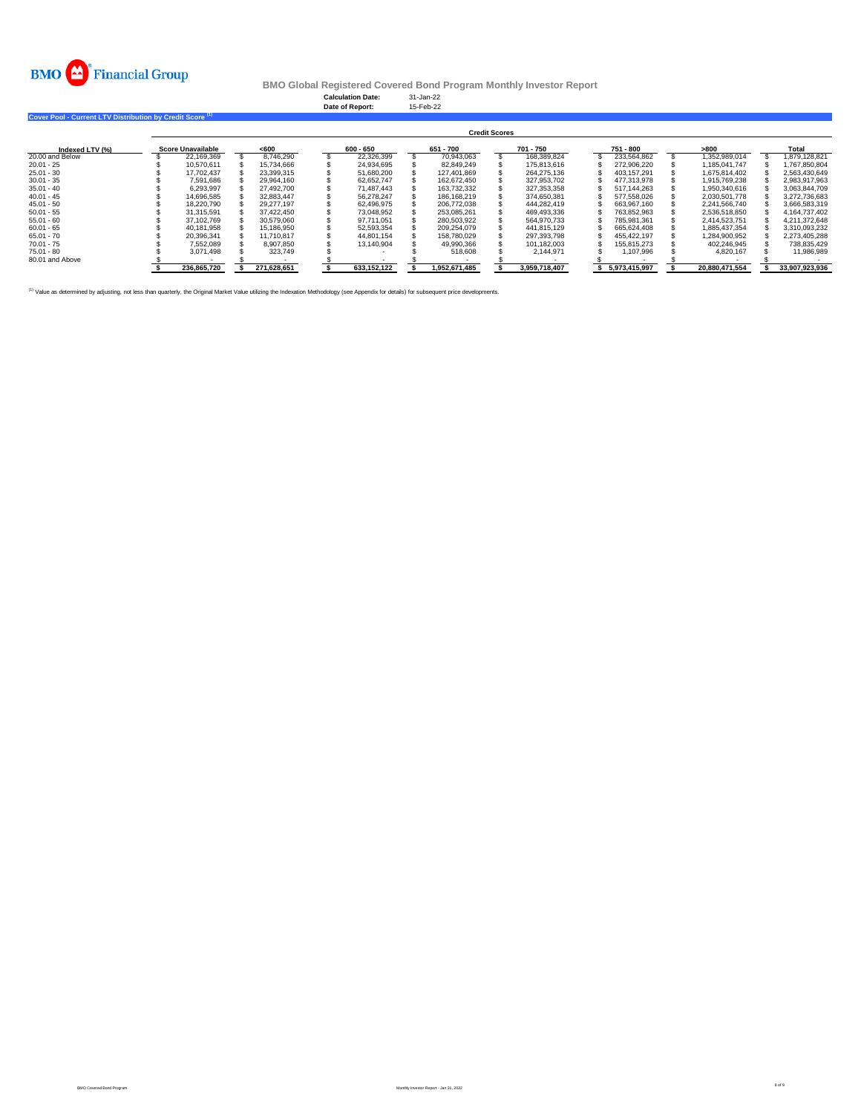

**Calculation Date:** 31-Jan-22 **Date of Report:** 15-Feb-22

**Cover Pool - Current LTV Distribution by Credit Score (1)** 

|                 | <b>Credit Scores</b> |                          |  |             |  |             |  |               |  |               |  |               |                |  |                |
|-----------------|----------------------|--------------------------|--|-------------|--|-------------|--|---------------|--|---------------|--|---------------|----------------|--|----------------|
| Indexed LTV (%) |                      | <b>Score Unavailable</b> |  | <600        |  | 600 - 650   |  | 651 - 700     |  | 701 - 750     |  | 751 - 800     | >800           |  | Total          |
| 20,00 and Below |                      | 22,169,369               |  | 8.746.290   |  | 22,326,399  |  | 70,943,063    |  | 168,389,824   |  | 233.564.862   | 1.352.989.014  |  | 1,879,128,821  |
| $20.01 - 25$    |                      | 10.570.611               |  | 15.734.666  |  | 24.934.695  |  | 82.849.249    |  | 175,813,616   |  | 272.906.220   | 1.185.041.747  |  | 1.767.850.804  |
| $25.01 - 30$    |                      | 17.702.437               |  | 23.399.315  |  | 51.680.200  |  | 127.401.869   |  | 264.275.136   |  | 403.157.291   | 1.675.814.402  |  | 2.563.430.649  |
| $30.01 - 35$    |                      | 7.591.686                |  | 29.964.160  |  | 62.652.747  |  | 162.672.450   |  | 327.953.702   |  | 477.313.978   | 1.915.769.238  |  | 2.983.917.963  |
| $35.01 - 40$    |                      | 6.293.997                |  | 27.492.700  |  | 71.487.443  |  | 163.732.332   |  | 327.353.358   |  | 517.144.263   | 1.950.340.616  |  | 3.063.844.709  |
| $40.01 - 45$    |                      | 14.696.585               |  | 32.883.447  |  | 56.278.247  |  | 186.168.219   |  | 374.650.381   |  | 577.558.026   | 2.030.501.778  |  | 3.272.736.683  |
| $45.01 - 50$    |                      | 18.220.790               |  | 29.277.197  |  | 62.496.975  |  | 206,772,038   |  | 444.282.419   |  | 663.967.160   | 2.241.566.740  |  | 3.666.583.319  |
| $50.01 - 55$    |                      | 31,315,591               |  | 37.422.450  |  | 73.048.952  |  | 253,085,261   |  | 469.493.336   |  | 763.852.963   | 2.536.518.850  |  | 4,164,737,402  |
| $55.01 - 60$    |                      | 37,102,769               |  | 30.579.060  |  | 97.711.051  |  | 280.503.922   |  | 564.970.733   |  | 785.981.361   | 2.414.523.751  |  | 4.211.372.648  |
| $60.01 - 65$    |                      | 40.181.958               |  | 15.186.950  |  | 52.593.354  |  | 209.254.079   |  | 441.815.129   |  | 665.624.408   | 1.885.437.354  |  | 3.310.093.232  |
| $65.01 - 70$    |                      | 20.396.341               |  | 11.710.817  |  | 44.801.154  |  | 158,780,029   |  | 297.393.798   |  | 455.422.197   | 1.284.900.952  |  | 2.273.405.288  |
| $70.01 - 75$    |                      | 7.552.089                |  | 8.907.850   |  | 13.140.904  |  | 49,990,366    |  | 101.182.003   |  | 155.815.273   | 402.246.945    |  | 738.835.429    |
| $75.01 - 80$    |                      | 3.071.498                |  | 323.749     |  |             |  | 518,608       |  | 2.144.971     |  | 1.107.996     | 4.820.167      |  | 11,986,989     |
| 80.01 and Above |                      |                          |  |             |  |             |  |               |  |               |  |               |                |  |                |
|                 |                      | 236.865.720              |  | 271,628,651 |  | 633.152.122 |  | 1.952.671.485 |  | 3.959.718.407 |  | 5.973.415.997 | 20.880.471.554 |  | 33,907,923,936 |

<sup>(1)</sup> Value as determined by adjusting, not less than quarterly, the Original Market Value utilizing the Indexation Methodology (see Appendix for details) for subsequent price developments.